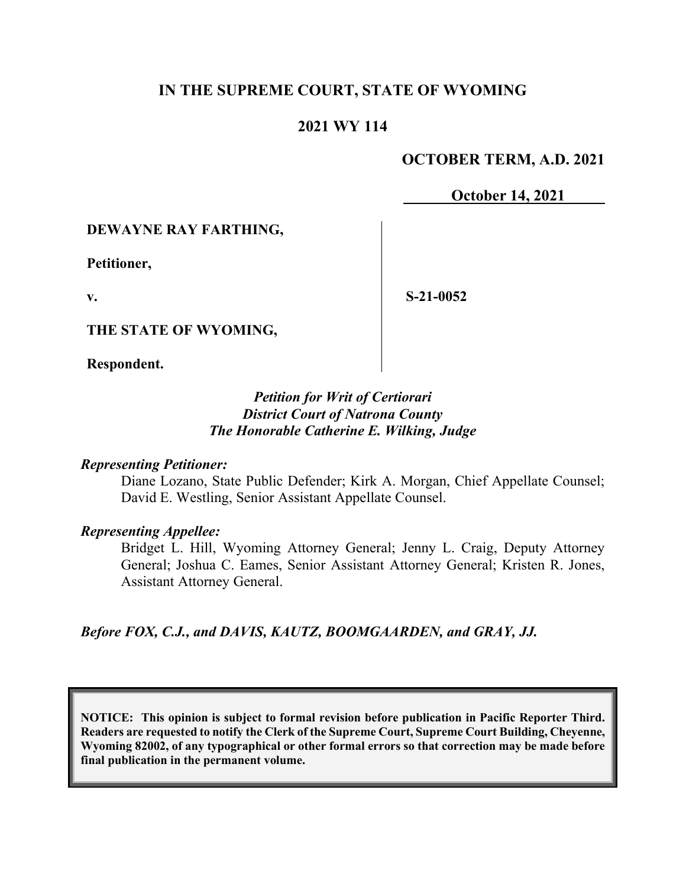# **IN THE SUPREME COURT, STATE OF WYOMING**

## **2021 WY 114**

## **OCTOBER TERM, A.D. 2021**

**October 14, 2021**

### **DEWAYNE RAY FARTHING,**

**Petitioner,**

**v.**

**S-21-0052**

**THE STATE OF WYOMING,**

**Respondent.**

## *Petition for Writ of Certiorari District Court of Natrona County The Honorable Catherine E. Wilking, Judge*

#### *Representing Petitioner:*

Diane Lozano, State Public Defender; Kirk A. Morgan, Chief Appellate Counsel; David E. Westling, Senior Assistant Appellate Counsel.

### *Representing Appellee:*

Bridget L. Hill, Wyoming Attorney General; Jenny L. Craig, Deputy Attorney General; Joshua C. Eames, Senior Assistant Attorney General; Kristen R. Jones, Assistant Attorney General.

*Before FOX, C.J., and DAVIS, KAUTZ, BOOMGAARDEN, and GRAY, JJ.*

**NOTICE: This opinion is subject to formal revision before publication in Pacific Reporter Third. Readers are requested to notify the Clerk of the Supreme Court, Supreme Court Building, Cheyenne, Wyoming 82002, of any typographical or other formal errors so that correction may be made before final publication in the permanent volume.**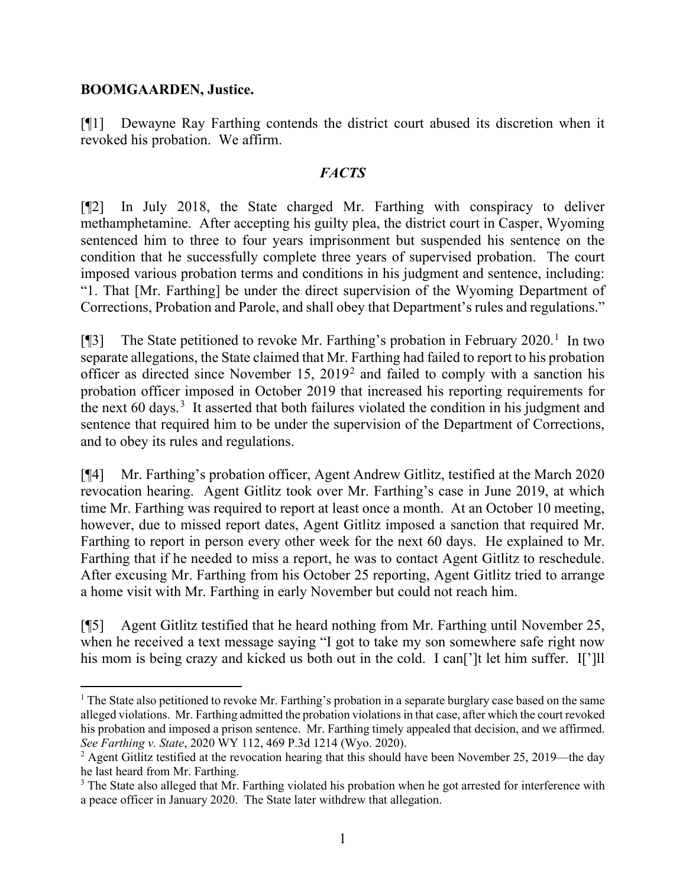## **BOOMGAARDEN, Justice.**

[¶1] Dewayne Ray Farthing contends the district court abused its discretion when it revoked his probation. We affirm.

# *FACTS*

[¶2] In July 2018, the State charged Mr. Farthing with conspiracy to deliver methamphetamine. After accepting his guilty plea, the district court in Casper, Wyoming sentenced him to three to four years imprisonment but suspended his sentence on the condition that he successfully complete three years of supervised probation. The court imposed various probation terms and conditions in his judgment and sentence, including: "1. That [Mr. Farthing] be under the direct supervision of the Wyoming Department of Corrections, Probation and Parole, and shall obey that Department's rules and regulations."

[¶3] The State petitioned to revoke Mr. Farthing's probation in February 2020.<sup>[1](#page-1-0)</sup> In two separate allegations, the State claimed that Mr. Farthing had failed to report to his probation officer as directed since November 15, 2019[2](#page-1-1) and failed to comply with a sanction his probation officer imposed in October 2019 that increased his reporting requirements for the next 60 days.<sup>[3](#page-1-2)</sup> It asserted that both failures violated the condition in his judgment and sentence that required him to be under the supervision of the Department of Corrections, and to obey its rules and regulations.

[¶4] Mr. Farthing's probation officer, Agent Andrew Gitlitz, testified at the March 2020 revocation hearing. Agent Gitlitz took over Mr. Farthing's case in June 2019, at which time Mr. Farthing was required to report at least once a month. At an October 10 meeting, however, due to missed report dates, Agent Gitlitz imposed a sanction that required Mr. Farthing to report in person every other week for the next 60 days. He explained to Mr. Farthing that if he needed to miss a report, he was to contact Agent Gitlitz to reschedule. After excusing Mr. Farthing from his October 25 reporting, Agent Gitlitz tried to arrange a home visit with Mr. Farthing in early November but could not reach him.

[¶5] Agent Gitlitz testified that he heard nothing from Mr. Farthing until November 25, when he received a text message saying "I got to take my son somewhere safe right now his mom is being crazy and kicked us both out in the cold. I can<sup>[']</sup>t let him suffer. I<sup>[']</sup>]

<span id="page-1-0"></span><sup>1</sup> The State also petitioned to revoke Mr. Farthing's probation in a separate burglary case based on the same alleged violations. Mr. Farthing admitted the probation violationsin that case, after which the court revoked his probation and imposed a prison sentence. Mr. Farthing timely appealed that decision, and we affirmed. *See Farthing v. State*, 2020 WY 112, 469 P.3d 1214 (Wyo. 2020).

<span id="page-1-1"></span><sup>&</sup>lt;sup>2</sup> Agent Gitlitz testified at the revocation hearing that this should have been November 25, 2019—the day he last heard from Mr. Farthing.

<span id="page-1-2"></span><sup>&</sup>lt;sup>3</sup> The State also alleged that Mr. Farthing violated his probation when he got arrested for interference with a peace officer in January 2020. The State later withdrew that allegation.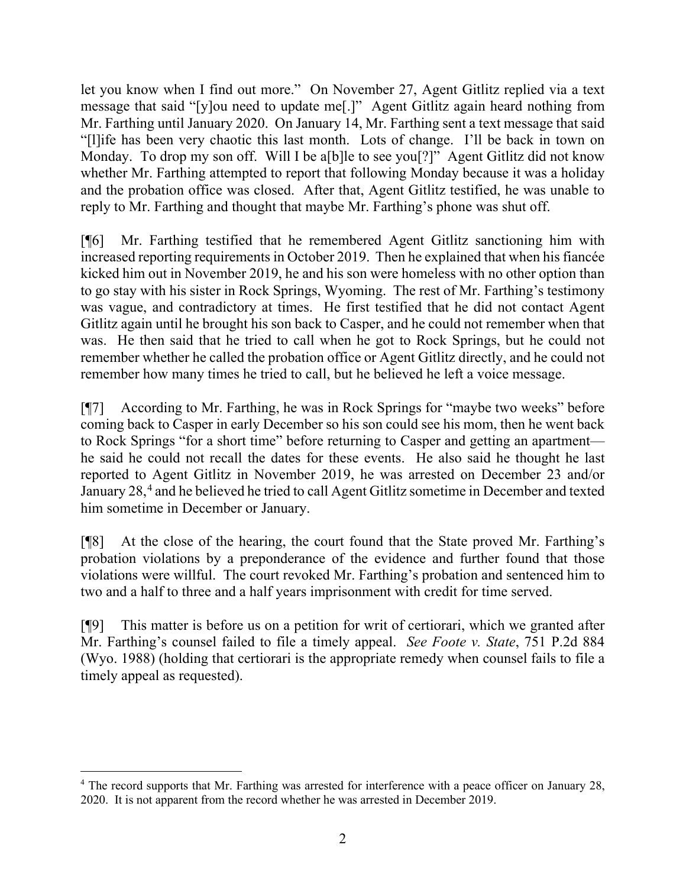let you know when I find out more." On November 27, Agent Gitlitz replied via a text message that said "[y]ou need to update me[.]" Agent Gitlitz again heard nothing from Mr. Farthing until January 2020. On January 14, Mr. Farthing sent a text message that said "[l]ife has been very chaotic this last month. Lots of change. I'll be back in town on Monday. To drop my son off. Will I be a[b]le to see you[?]" Agent Gitlitz did not know whether Mr. Farthing attempted to report that following Monday because it was a holiday and the probation office was closed. After that, Agent Gitlitz testified, he was unable to reply to Mr. Farthing and thought that maybe Mr. Farthing's phone was shut off.

[¶6] Mr. Farthing testified that he remembered Agent Gitlitz sanctioning him with increased reporting requirements in October 2019. Then he explained that when his fiancée kicked him out in November 2019, he and his son were homeless with no other option than to go stay with his sister in Rock Springs, Wyoming. The rest of Mr. Farthing's testimony was vague, and contradictory at times. He first testified that he did not contact Agent Gitlitz again until he brought his son back to Casper, and he could not remember when that was. He then said that he tried to call when he got to Rock Springs, but he could not remember whether he called the probation office or Agent Gitlitz directly, and he could not remember how many times he tried to call, but he believed he left a voice message.

[¶7] According to Mr. Farthing, he was in Rock Springs for "maybe two weeks" before coming back to Casper in early December so his son could see his mom, then he went back to Rock Springs "for a short time" before returning to Casper and getting an apartment he said he could not recall the dates for these events. He also said he thought he last reported to Agent Gitlitz in November 2019, he was arrested on December 23 and/or January 28,<sup>[4](#page-2-0)</sup> and he believed he tried to call Agent Gitlitz sometime in December and texted him sometime in December or January.

[¶8] At the close of the hearing, the court found that the State proved Mr. Farthing's probation violations by a preponderance of the evidence and further found that those violations were willful. The court revoked Mr. Farthing's probation and sentenced him to two and a half to three and a half years imprisonment with credit for time served.

[¶9] This matter is before us on a petition for writ of certiorari, which we granted after Mr. Farthing's counsel failed to file a timely appeal. *See Foote v. State*, 751 P.2d 884 (Wyo. 1988) (holding that certiorari is the appropriate remedy when counsel fails to file a timely appeal as requested).

<span id="page-2-0"></span><sup>&</sup>lt;sup>4</sup> The record supports that Mr. Farthing was arrested for interference with a peace officer on January 28, 2020. It is not apparent from the record whether he was arrested in December 2019.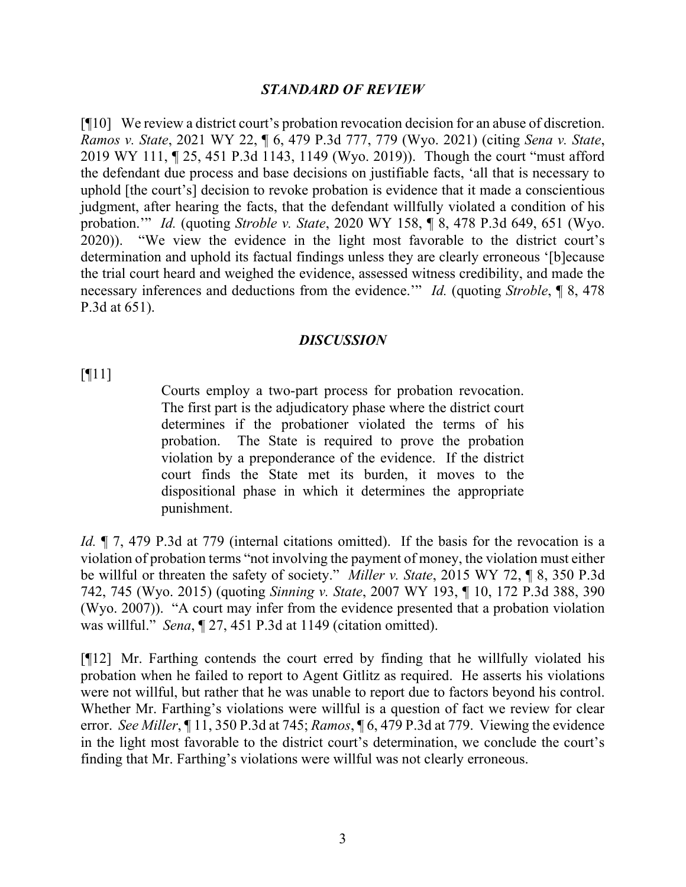### *STANDARD OF REVIEW*

[¶10] We review a district court's probation revocation decision for an abuse of discretion. *Ramos v. State*, 2021 WY 22, ¶ 6, 479 P.3d 777, 779 (Wyo. 2021) (citing *Sena v. State*, 2019 WY 111, ¶ 25, 451 P.3d 1143, 1149 (Wyo. 2019)). Though the court "must afford the defendant due process and base decisions on justifiable facts, 'all that is necessary to uphold [the court's] decision to revoke probation is evidence that it made a conscientious judgment, after hearing the facts, that the defendant willfully violated a condition of his probation.'" *Id.* (quoting *Stroble v. State*, 2020 WY 158, ¶ 8, 478 P.3d 649, 651 (Wyo. 2020)). "We view the evidence in the light most favorable to the district court's determination and uphold its factual findings unless they are clearly erroneous '[b]ecause the trial court heard and weighed the evidence, assessed witness credibility, and made the necessary inferences and deductions from the evidence.'" *Id.* (quoting *Stroble*, ¶ 8, 478 P.3d at 651).

#### *DISCUSSION*

[¶11]

Courts employ a two-part process for probation revocation. The first part is the adjudicatory phase where the district court determines if the probationer violated the terms of his probation. The State is required to prove the probation violation by a preponderance of the evidence. If the district court finds the State met its burden, it moves to the dispositional phase in which it determines the appropriate punishment.

*Id.*  $\parallel$  7, 479 P.3d at 779 (internal citations omitted). If the basis for the revocation is a violation of probation terms "not involving the payment of money, the violation must either be willful or threaten the safety of society." *Miller v. State*, 2015 WY 72, ¶ 8, 350 P.3d 742, 745 (Wyo. 2015) (quoting *Sinning v. State*, 2007 WY 193, ¶ 10, 172 P.3d 388, 390 (Wyo. 2007)). "A court may infer from the evidence presented that a probation violation was willful." *Sena*, ¶ 27, 451 P.3d at 1149 (citation omitted).

[¶12] Mr. Farthing contends the court erred by finding that he willfully violated his probation when he failed to report to Agent Gitlitz as required. He asserts his violations were not willful, but rather that he was unable to report due to factors beyond his control. Whether Mr. Farthing's violations were willful is a question of fact we review for clear error. *See Miller*, ¶ 11, 350 P.3d at 745; *Ramos*, ¶ 6, 479 P.3d at 779. Viewing the evidence in the light most favorable to the district court's determination, we conclude the court's finding that Mr. Farthing's violations were willful was not clearly erroneous.